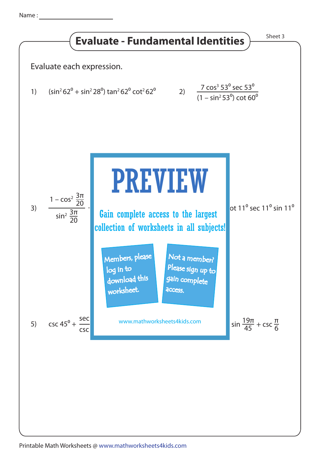